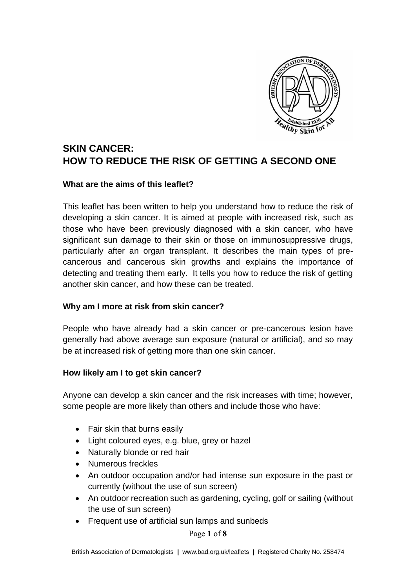

# **SKIN CANCER: HOW TO REDUCE THE RISK OF GETTING A SECOND ONE**

#### **What are the aims of this leaflet?**

This leaflet has been written to help you understand how to reduce the risk of developing a skin cancer. It is aimed at people with increased risk, such as those who have been previously diagnosed with a skin cancer, who have significant sun damage to their skin or those on immunosuppressive drugs, particularly after an organ transplant. It describes the main types of precancerous and cancerous skin growths and explains the importance of detecting and treating them early. It tells you how to reduce the risk of getting another skin cancer, and how these can be treated.

# **Why am I more at risk from skin cancer?**

People who have already had a skin cancer or pre-cancerous lesion have generally had above average sun exposure (natural or artificial), and so may be at increased risk of getting more than one skin cancer.

#### **How likely am I to get skin cancer?**

Anyone can develop a skin cancer and the risk increases with time; however, some people are more likely than others and include those who have:

- Fair skin that burns easily
- Light coloured eyes, e.g. blue, grey or hazel
- Naturally blonde or red hair
- Numerous freckles
- An outdoor occupation and/or had intense sun exposure in the past or currently (without the use of sun screen)
- An outdoor recreation such as gardening, cycling, golf or sailing (without the use of sun screen)
- Frequent use of artificial sun lamps and sunbeds

Page 1 of 8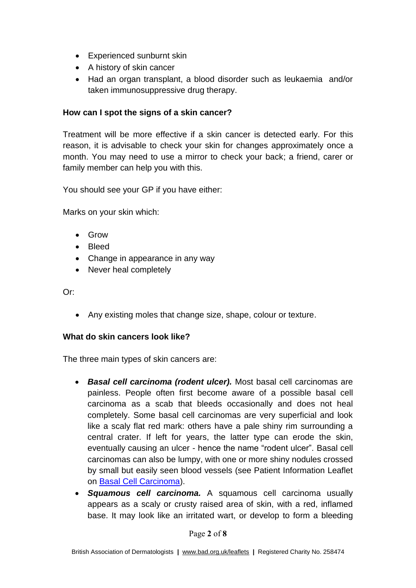- Experienced sunburnt skin
- A history of skin cancer
- Had an organ transplant, a blood disorder such as leukaemia and/or taken immunosuppressive drug therapy.

# **How can I spot the signs of a skin cancer?**

Treatment will be more effective if a skin cancer is detected early. For this reason, it is advisable to check your skin for changes approximately once a month. You may need to use a mirror to check your back; a friend, carer or family member can help you with this.

You should see your GP if you have either:

Marks on your skin which:

- Grow
- Bleed
- Change in appearance in any way
- Never heal completely

Or:

• Any existing moles that change size, shape, colour or texture.

# **What do skin cancers look like?**

The three main types of skin cancers are:

- *Basal cell carcinoma (rodent ulcer).* Most basal cell carcinomas are painless. People often first become aware of a possible basal cell carcinoma as a scab that bleeds occasionally and does not heal completely. Some basal cell carcinomas are very superficial and look like a scaly flat red mark: others have a pale shiny rim surrounding a central crater. If left for years, the latter type can erode the skin, eventually causing an ulcer - hence the name "rodent ulcer". Basal cell carcinomas can also be lumpy, with one or more shiny nodules crossed by small but easily seen blood vessels (see Patient Information Leaflet on [Basal Cell Carcinoma\)](http://www.bad.org.uk/for-the-public/patient-information-leaflets/basal-cell-carcinoma).
- *Squamous cell carcinoma.* A squamous cell carcinoma usually appears as a scaly or crusty raised area of skin, with a red, inflamed base. It may look like an irritated wart, or develop to form a bleeding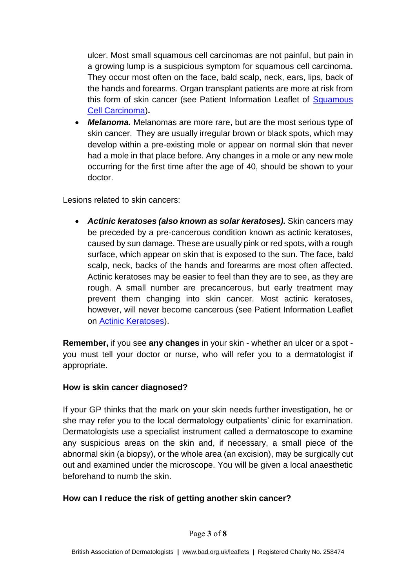ulcer. Most small squamous cell carcinomas are not painful, but pain in a growing lump is a suspicious symptom for squamous cell carcinoma. They occur most often on the face, bald scalp, neck, ears, lips, back of the hands and forearms. Organ transplant patients are more at risk from this form of skin cancer (see Patient Information Leaflet of Squamous [Cell Carcinoma\)](http://www.bad.org.uk/for-the-public/patient-information-leaflets/squamous-cell-carcinoma)**.**

• *Melanoma.* Melanomas are more rare, but are the most serious type of skin cancer. They are usually irregular brown or black spots, which may develop within a pre-existing mole or appear on normal skin that never had a mole in that place before. Any changes in a mole or any new mole occurring for the first time after the age of 40, should be shown to your doctor.

Lesions related to skin cancers:

• *Actinic keratoses (also known as solar keratoses).* Skin cancers may be preceded by a pre-cancerous condition known as actinic keratoses, caused by sun damage. These are usually pink or red spots, with a rough surface, which appear on skin that is exposed to the sun. The face, bald scalp, neck, backs of the hands and forearms are most often affected. Actinic keratoses may be easier to feel than they are to see, as they are rough. A small number are precancerous, but early treatment may prevent them changing into skin cancer. Most actinic keratoses, however, will never become cancerous (see Patient Information Leaflet on [Actinic Keratoses\)](http://www.bad.org.uk/for-the-public/patient-information-leaflets/actinic-keratoses).

**Remember,** if you see **any changes** in your skin - whether an ulcer or a spot you must tell your doctor or nurse, who will refer you to a dermatologist if appropriate.

# **How is skin cancer diagnosed?**

If your GP thinks that the mark on your skin needs further investigation, he or she may refer you to the local dermatology outpatients' clinic for examination. Dermatologists use a specialist instrument called a dermatoscope to examine any suspicious areas on the skin and, if necessary, a small piece of the abnormal skin (a biopsy), or the whole area (an excision), may be surgically cut out and examined under the microscope. You will be given a local anaesthetic beforehand to numb the skin.

# **How can I reduce the risk of getting another skin cancer?**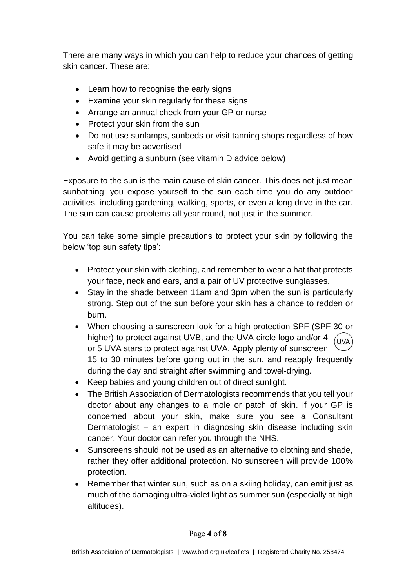There are many ways in which you can help to reduce your chances of getting skin cancer. These are:

- Learn how to recognise the early signs
- Examine your skin regularly for these signs
- Arrange an annual check from your GP or nurse
- Protect your skin from the sun
- Do not use sunlamps, sunbeds or visit tanning shops regardless of how safe it may be advertised
- Avoid getting a sunburn (see vitamin D advice below)

Exposure to the sun is the main cause of skin cancer. This does not just mean sunbathing; you expose yourself to the sun each time you do any outdoor activities, including gardening, walking, sports, or even a long drive in the car. The sun can cause problems all year round, not just in the summer.

You can take some simple precautions to protect your skin by following the below 'top sun safety tips':

- Protect your skin with clothing, and remember to wear a hat that protects your face, neck and ears, and a pair of UV protective sunglasses.
- Stay in the shade between 11am and 3pm when the sun is particularly strong. Step out of the sun before your skin has a chance to redden or burn.
- When choosing a sunscreen look for a high protection SPF (SPF 30 or higher) to protect against UVB, and the UVA circle logo and/or 4 UVA or 5 UVA stars to protect against UVA. Apply plenty of sunscreen 15 to 30 minutes before going out in the sun, and reapply frequently during the day and straight after swimming and towel-drying.
- Keep babies and young children out of direct sunlight.
- The British Association of Dermatologists recommends that you tell your doctor about any changes to a mole or patch of skin. If your GP is concerned about your skin, make sure you see a Consultant Dermatologist – an expert in diagnosing skin disease including skin cancer. Your doctor can refer you through the NHS.
- Sunscreens should not be used as an alternative to clothing and shade, rather they offer additional protection. No sunscreen will provide 100% protection.
- Remember that winter sun, such as on a skiing holiday, can emit just as much of the damaging ultra-violet light as summer sun (especially at high altitudes).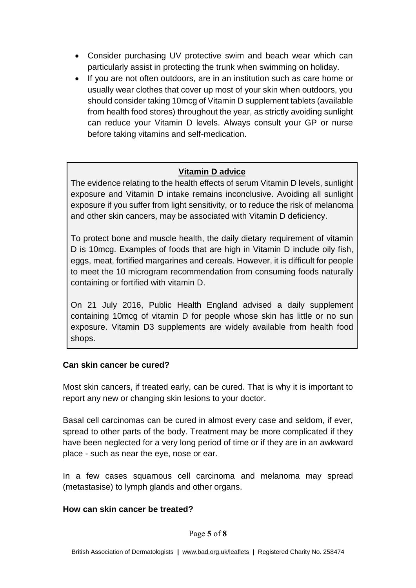- Consider purchasing UV protective swim and beach wear which can particularly assist in protecting the trunk when swimming on holiday.
- If you are not often outdoors, are in an institution such as care home or usually wear clothes that cover up most of your skin when outdoors, you should consider taking 10mcg of Vitamin D supplement tablets (available from health food stores) throughout the year, as strictly avoiding sunlight can reduce your Vitamin D levels. Always consult your GP or nurse before taking vitamins and self-medication.

# **Vitamin D advice**

The evidence relating to the health effects of serum Vitamin D levels, sunlight exposure and Vitamin D intake remains inconclusive. Avoiding all sunlight exposure if you suffer from light sensitivity, or to reduce the risk of melanoma and other skin cancers, may be associated with Vitamin D deficiency.

To protect bone and muscle health, the daily dietary requirement of vitamin D is 10mcg. Examples of foods that are high in Vitamin D include oily fish, eggs, meat, fortified margarines and cereals. However, it is difficult for people to meet the 10 microgram recommendation from consuming foods naturally containing or fortified with vitamin D.

On 21 July 2016, Public Health England advised a daily supplement containing 10mcg of vitamin D for people whose skin has little or no sun exposure. Vitamin D3 supplements are widely available from health food shops.

#### **Can skin cancer be cured?**

Most skin cancers, if treated early, can be cured. That is why it is important to report any new or changing skin lesions to your doctor.

Basal cell carcinomas can be cured in almost every case and seldom, if ever, spread to other parts of the body. Treatment may be more complicated if they have been neglected for a very long period of time or if they are in an awkward place - such as near the eye, nose or ear.

In a few cases squamous cell carcinoma and melanoma may spread (metastasise) to lymph glands and other organs.

#### **How can skin cancer be treated?**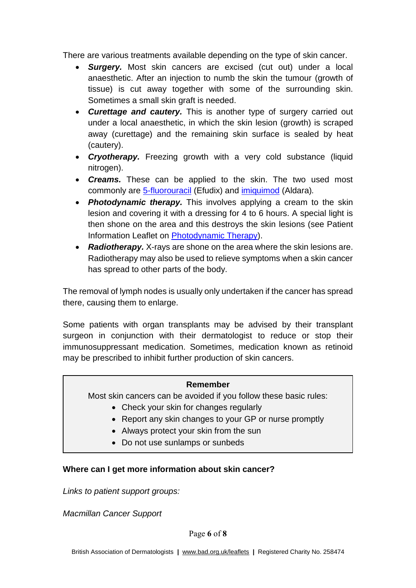There are various treatments available depending on the type of skin cancer.

- *Surgery.* Most skin cancers are excised (cut out) under a local anaesthetic. After an injection to numb the skin the tumour (growth of tissue) is cut away together with some of the surrounding skin. Sometimes a small skin graft is needed.
- *Curettage and cautery.* This is another type of surgery carried out under a local anaesthetic, in which the skin lesion (growth) is scraped away (curettage) and the remaining skin surface is sealed by heat (cautery).
- *Cryotherapy.* Freezing growth with a very cold substance (liquid nitrogen).
- *Creams.* These can be applied to the skin. The two used most commonly are [5-fluorouracil](http://www.bad.org.uk/for-the-public/patient-information-leaflets/5-fluorouracil-cream) (Efudix) and [imiquimod](http://www.bad.org.uk/for-the-public/patient-information-leaflets/imiquimod-cream) (Aldara)*.*
- *Photodynamic therapy.* This involves applying a cream to the skin lesion and covering it with a dressing for 4 to 6 hours. A special light is then shone on the area and this destroys the skin lesions (see Patient Information Leaflet on [Photodynamic Therapy\)](http://www.bad.org.uk/for-the-public/patient-information-leaflets/photodynamic-therapy).
- *Radiotherapy.* X-rays are shone on the area where the skin lesions are. Radiotherapy may also be used to relieve symptoms when a skin cancer has spread to other parts of the body.

The removal of lymph nodes is usually only undertaken if the cancer has spread there, causing them to enlarge.

Some patients with organ transplants may be advised by their transplant surgeon in conjunction with their dermatologist to reduce or stop their immunosuppressant medication. Sometimes, medication known as retinoid may be prescribed to inhibit further production of skin cancers.

#### **Remember**

Most skin cancers can be avoided if you follow these basic rules:

- Check your skin for changes regularly
- Report any skin changes to your GP or nurse promptly
- Always protect your skin from the sun
- Do not use sunlamps or sunbeds

#### **Where can I get more information about skin cancer?**

*Links to patient support groups:*

*Macmillan Cancer Support*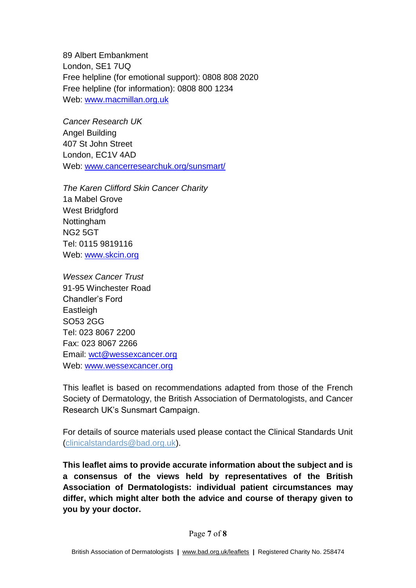89 Albert Embankment London, SE1 7UQ Free helpline (for emotional support): 0808 808 2020 Free helpline (for information): 0808 800 1234 Web: [www.macmillan.org.uk](http://www.macmillan.org.uk/)

*Cancer Research UK*  Angel Building 407 St John Street London, EC1V 4AD Web: [www.cancerresearchuk.org/sunsmart/](http://www.cancerresearchuk.org/sunsmart/)

*The Karen Clifford Skin Cancer Charity* 1a Mabel Grove West Bridgford Nottingham NG2 5GT Tel: 0115 9819116 Web: [www.skcin.org](http://www.skcin.org/)

*Wessex Cancer Trust*  91-95 Winchester Road Chandler's Ford **Eastleigh** SO53 2GG Tel: 023 8067 2200 Fax: 023 8067 2266 Email: [wct@wessexcancer.org](mailto:wct@wessexcancer.org) Web: [www.wessexcancer.org](http://www.wessexcancer.org/)

This leaflet is based on recommendations adapted from those of the French Society of Dermatology, the British Association of Dermatologists, and Cancer Research UK's Sunsmart Campaign.

For details of source materials used please contact the Clinical Standards Unit [\(clinicalstandards@bad.org.uk\)](mailto:clinicalstandards@bad.org.uk).

**This leaflet aims to provide accurate information about the subject and is a consensus of the views held by representatives of the British Association of Dermatologists: individual patient circumstances may differ, which might alter both the advice and course of therapy given to you by your doctor.**